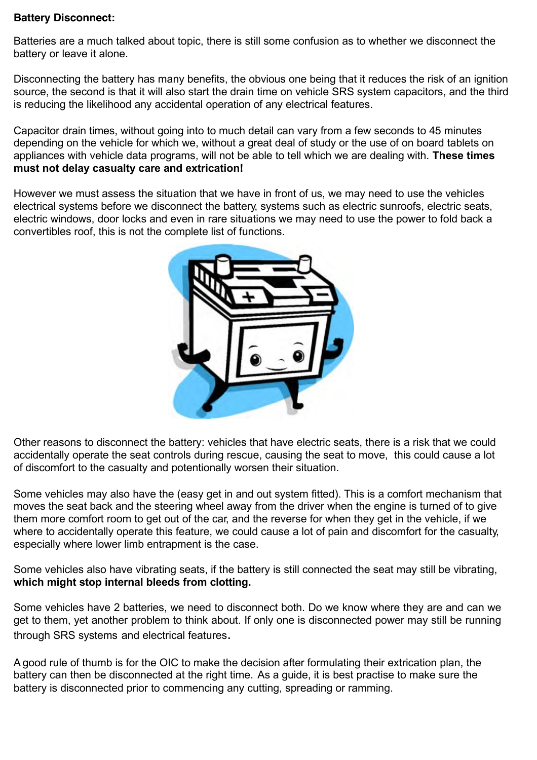## **Battery Disconnect:**

Batteries are a much talked about topic, there is still some confusion as to whether we disconnect the battery or leave it alone.

Disconnecting the battery has many benefits, the obvious one being that it reduces the risk of an ignition source, the second is that it will also start the drain time on vehicle SRS system capacitors, and the third is reducing the likelihood any accidental operation of any electrical features.

Capacitor drain times, without going into to much detail can vary from a few seconds to 45 minutes depending on the vehicle for which we, without a great deal of study or the use of on board tablets on appliances with vehicle data programs, will not be able to tell which we are dealing with. **These times must not delay casualty care and extrication!**

However we must assess the situation that we have in front of us, we may need to use the vehicles electrical systems before we disconnect the battery, systems such as electric sunroofs, electric seats, electric windows, door locks and even in rare situations we may need to use the power to fold back a convertibles roof, this is not the complete list of functions.



Other reasons to disconnect the battery: vehicles that have electric seats, there is a risk that we could accidentally operate the seat controls during rescue, causing the seat to move, this could cause a lot of discomfort to the casualty and potentionally worsen their situation.

Some vehicles may also have the (easy get in and out system fitted). This is a comfort mechanism that moves the seat back and the steering wheel away from the driver when the engine is turned of to give them more comfort room to get out of the car, and the reverse for when they get in the vehicle, if we where to accidentally operate this feature, we could cause a lot of pain and discomfort for the casualty. especially where lower limb entrapment is the case.

Some vehicles also have vibrating seats, if the battery is still connected the seat may still be vibrating, **which might stop internal bleeds from clotting.**

Some vehicles have 2 batteries, we need to disconnect both. Do we know where they are and can we get to them, yet another problem to think about. If only one is disconnected power may still be running through SRS systems and electrical features.

Agood rule of thumb is for the OIC to make the decision after formulating their extrication plan, the battery can then be disconnected at the right time. As a guide, it is best practise to make sure the battery is disconnected prior to commencing any cutting, spreading or ramming.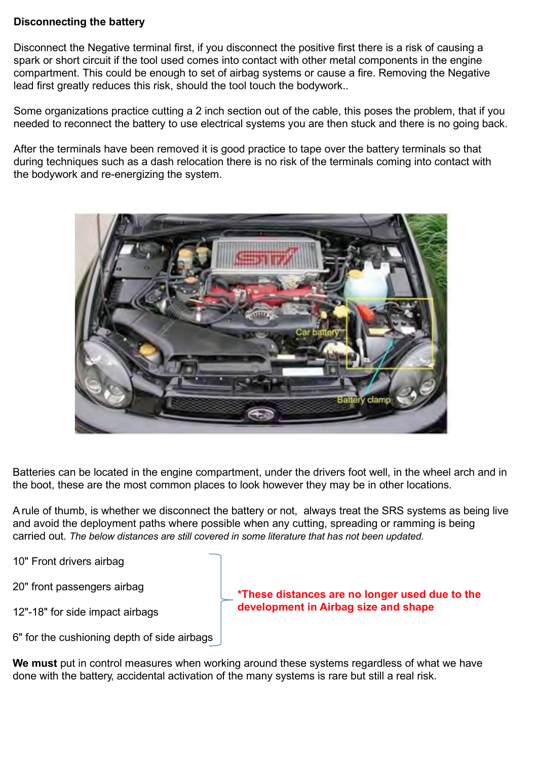## **Disconnecting the battery**

Disconnect the Negative terminal first, if you disconnect the positive first there is a risk of causing a spark or short circuit if the tool used comes into contact with other metal components in the engine compartment. This could be enough to set of airbag systems or cause a fire. Removing the Negative lead first greatly reduces this risk, should the tool touch the bodywork..

Some organizations practice cutting a 2 inch section out of the cable, this poses the problem, that if you needed to reconnect the battery to use electrical systems you are then stuck and there is no going back.

After the terminals have been removed it is good practice to tape over the battery terminals so that during techniques such as a dash relocation there is no risk of the terminals coming into contact with the bodywork and re-energizing the system.



Batteries can be located in the engine compartment, under the drivers foot well, in the wheel arch and in the boot, these are the most common places to look however they may be in other locations.

Arule of thumb, is whether we disconnect the battery or not, always treat the SRS systems as being live and avoid the deployment paths where possible when any cutting, spreading or ramming is being carried out. *The below distances are still covered in some literature that has not been updated.*

10" Front drivers airbag

20" front passengers airbag

12"-18" for side impact airbags

**\*These distances are no longer used due to the development in Airbag size and shape**

6" for the cushioning depth of side airbags

**We must** put in control measures when working around these systems regardless of what we have done with the battery, accidental activation of the many systems is rare but still a real risk.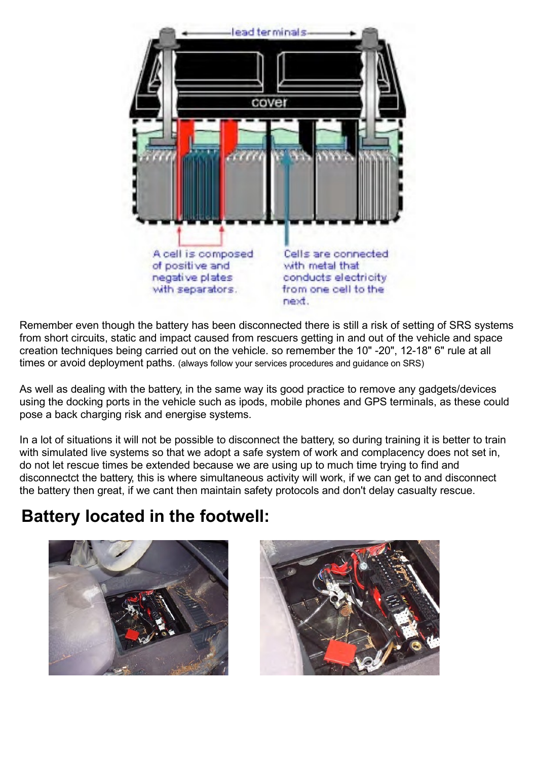

Remember even though the battery has been disconnected there is still a risk of setting of SRS systems from short circuits, static and impact caused from rescuers getting in and out of the vehicle and space creation techniques being carried out on the vehicle. so remember the 10" -20", 12-18" 6" rule at all times or avoid deployment paths. (always follow your services procedures and guidance on SRS)

As well as dealing with the battery, in the same way its good practice to remove any gadgets/devices using the docking ports in the vehicle such as ipods, mobile phones and GPS terminals, as these could pose a back charging risk and energise systems.

In a lot of situations it will not be possible to disconnect the battery, so during training it is better to train with simulated live systems so that we adopt a safe system of work and complacency does not set in, do not let rescue times be extended because we are using up to much time trying to find and disconnectct the battery, this is where simultaneous activity will work, if we can get to and disconnect the battery then great, if we cant then maintain safety protocols and don't delay casualty rescue.

## **Battery located in the footwell:**